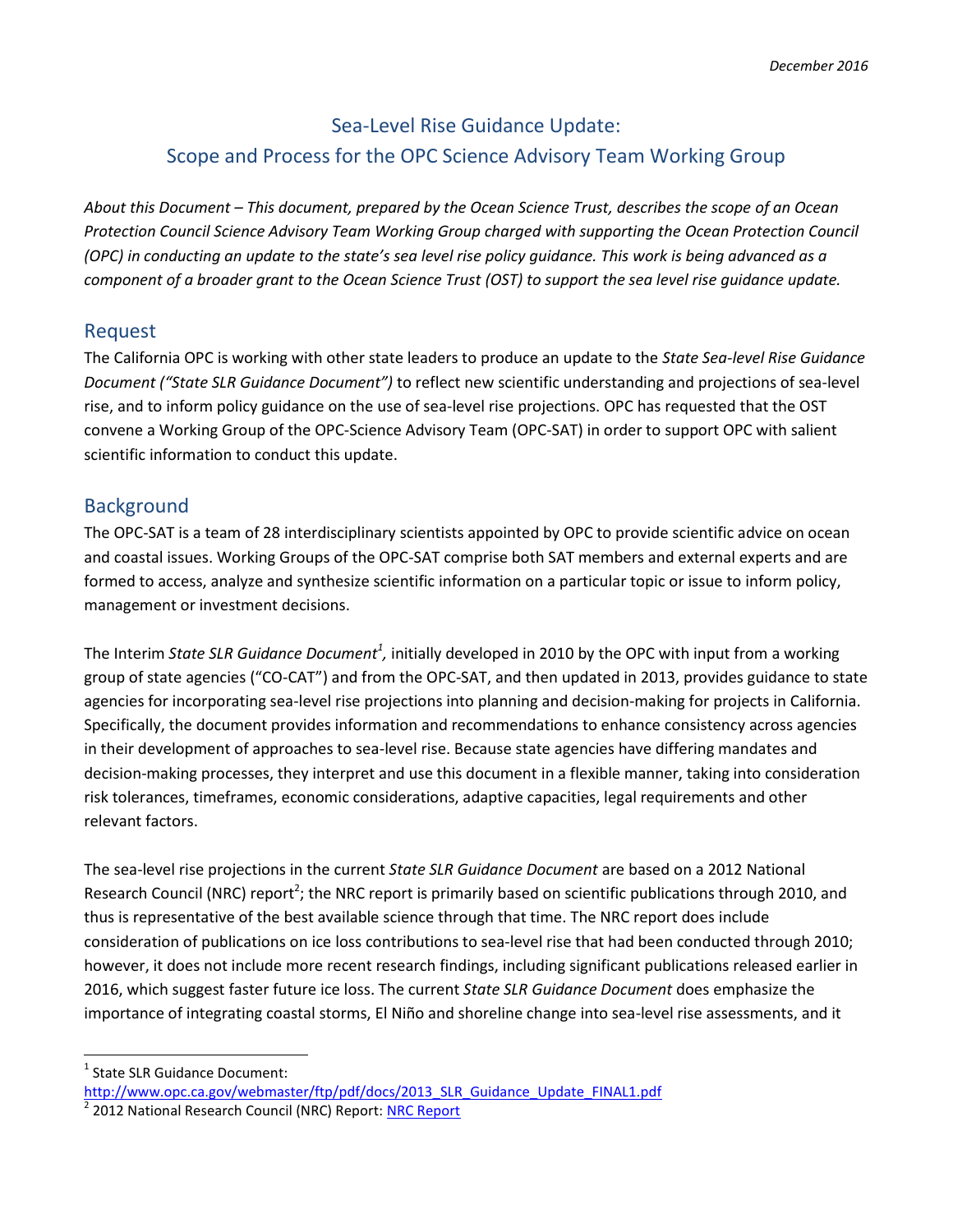# Sea-Level Rise Guidance Update: Scope and Process for the OPC Science Advisory Team Working Group

*About this Document – This document, prepared by the Ocean Science Trust, describes the scope of an Ocean Protection Council Science Advisory Team Working Group charged with supporting the Ocean Protection Council (OPC) in conducting an update to the state's sea level rise policy guidance. This work is being advanced as a component of a broader grant to the Ocean Science Trust (OST) to support the sea level rise guidance update.*

### Request

The California OPC is working with other state leaders to produce an update to the *State Sea-level Rise Guidance Document ("State SLR Guidance Document")* to reflect new scientific understanding and projections of sea-level rise, and to inform policy guidance on the use of sea-level rise projections. OPC has requested that the OST convene a Working Group of the OPC-Science Advisory Team (OPC-SAT) in order to support OPC with salient scientific information to conduct this update.

## **Background**

The OPC-SAT is a team of 28 interdisciplinary scientists appointed by OPC to provide scientific advice on ocean and coastal issues. Working Groups of the OPC-SAT comprise both SAT members and external experts and are formed to access, analyze and synthesize scientific information on a particular topic or issue to inform policy, management or investment decisions.

The Interim State SLR Guidance Document<sup>1</sup>, initially developed in 2010 by the OPC with input from a working group of state agencies ("CO-CAT") and from the OPC-SAT, and then updated in 2013, provides guidance to state agencies for incorporating sea-level rise projections into planning and decision-making for projects in California. Specifically, the document provides information and recommendations to enhance consistency across agencies in their development of approaches to sea-level rise. Because state agencies have differing mandates and decision-making processes, they interpret and use this document in a flexible manner, taking into consideration risk tolerances, timeframes, economic considerations, adaptive capacities, legal requirements and other relevant factors.

The sea-level rise projections in the current *State SLR Guidance Document* are based on a 2012 National Research Council (NRC) report<sup>2</sup>; the NRC report is primarily based on scientific publications through 2010, and thus is representative of the best available science through that time. The NRC report does include consideration of publications on ice loss contributions to sea-level rise that had been conducted through 2010; however, it does not include more recent research findings, including significant publications released earlier in 2016, which suggest faster future ice loss. The current *State SLR Guidance Document* does emphasize the importance of integrating coastal storms, El Niño and shoreline change into sea-level rise assessments, and it

<sup>1</sup> State SLR Guidance Document:

 $\overline{a}$ 

[http://www.opc.ca.gov/webmaster/ftp/pdf/docs/2013\\_SLR\\_Guidance\\_Update\\_FINAL1.pdf](http://www.opc.ca.gov/webmaster/ftp/pdf/docs/2013_SLR_Guidance_Update_FINAL1.pdf)

<sup>2</sup> 2012 National Research Council (NRC) Report[: NRC Report](http://www.ecy.wa.gov/climatechange/docs/ipa_slr_nrcfullreport.pdf)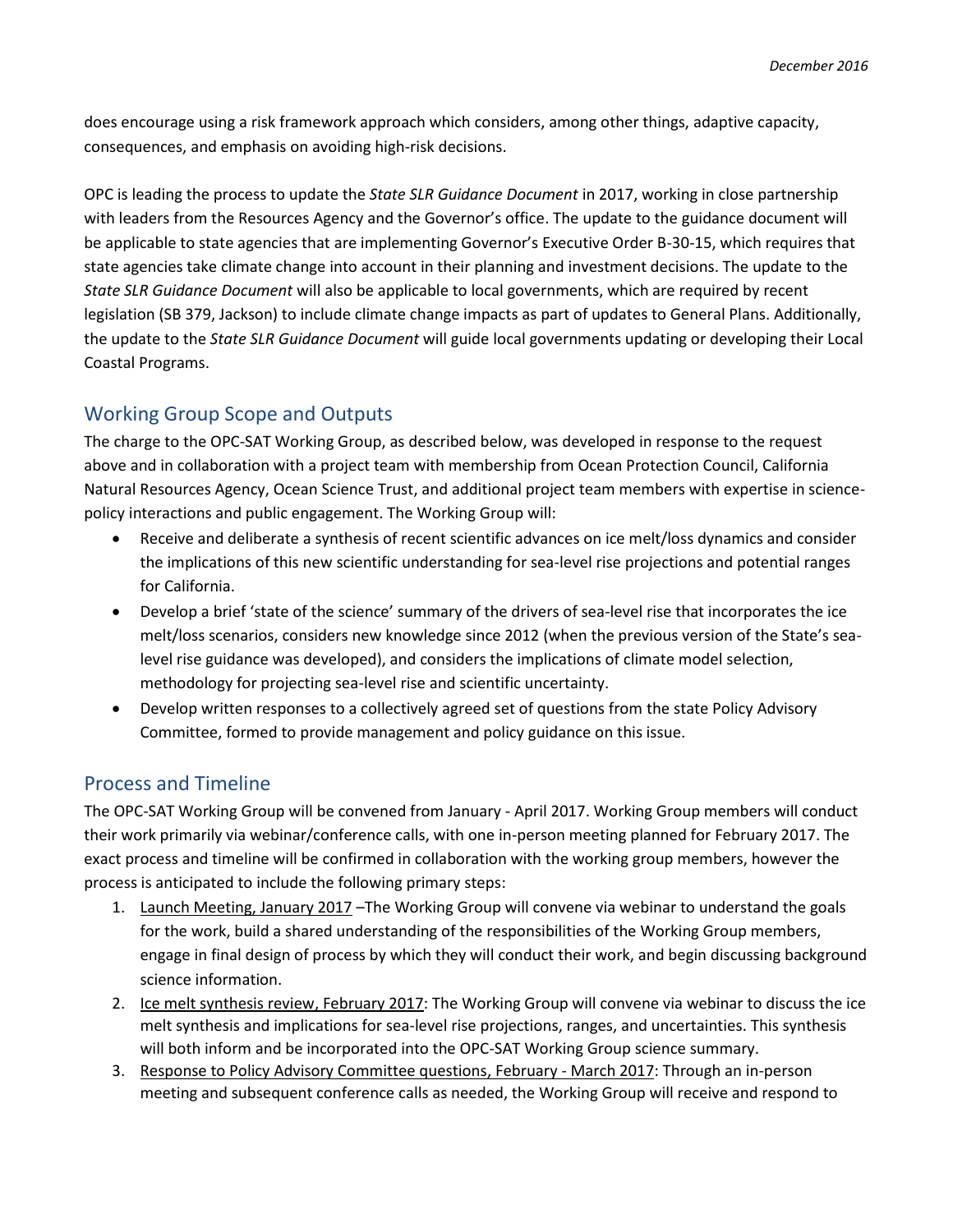does encourage using a risk framework approach which considers, among other things, adaptive capacity, consequences, and emphasis on avoiding high-risk decisions.

OPC is leading the process to update the *State SLR Guidance Document* in 2017, working in close partnership with leaders from the Resources Agency and the Governor's office. The update to the guidance document will be applicable to state agencies that are implementing Governor's Executive Order B-30-15, which requires that state agencies take climate change into account in their planning and investment decisions. The update to the *State SLR Guidance Document* will also be applicable to local governments, which are required by recent legislation (SB 379, Jackson) to include climate change impacts as part of updates to General Plans. Additionally, the update to the *State SLR Guidance Document* will guide local governments updating or developing their Local Coastal Programs.

## Working Group Scope and Outputs

The charge to the OPC-SAT Working Group, as described below, was developed in response to the request above and in collaboration with a project team with membership from Ocean Protection Council, California Natural Resources Agency, Ocean Science Trust, and additional project team members with expertise in sciencepolicy interactions and public engagement. The Working Group will:

- Receive and deliberate a synthesis of recent scientific advances on ice melt/loss dynamics and consider the implications of this new scientific understanding for sea-level rise projections and potential ranges for California.
- Develop a brief 'state of the science' summary of the drivers of sea-level rise that incorporates the ice melt/loss scenarios, considers new knowledge since 2012 (when the previous version of the State's sealevel rise guidance was developed), and considers the implications of climate model selection, methodology for projecting sea-level rise and scientific uncertainty.
- Develop written responses to a collectively agreed set of questions from the state Policy Advisory Committee, formed to provide management and policy guidance on this issue.

## Process and Timeline

The OPC-SAT Working Group will be convened from January - April 2017. Working Group members will conduct their work primarily via webinar/conference calls, with one in-person meeting planned for February 2017. The exact process and timeline will be confirmed in collaboration with the working group members, however the process is anticipated to include the following primary steps:

- 1. Launch Meeting, January 2017 –The Working Group will convene via webinar to understand the goals for the work, build a shared understanding of the responsibilities of the Working Group members, engage in final design of process by which they will conduct their work, and begin discussing background science information.
- 2. Ice melt synthesis review, February 2017: The Working Group will convene via webinar to discuss the ice melt synthesis and implications for sea-level rise projections, ranges, and uncertainties. This synthesis will both inform and be incorporated into the OPC-SAT Working Group science summary.
- 3. Response to Policy Advisory Committee questions, February March 2017: Through an in-person meeting and subsequent conference calls as needed, the Working Group will receive and respond to